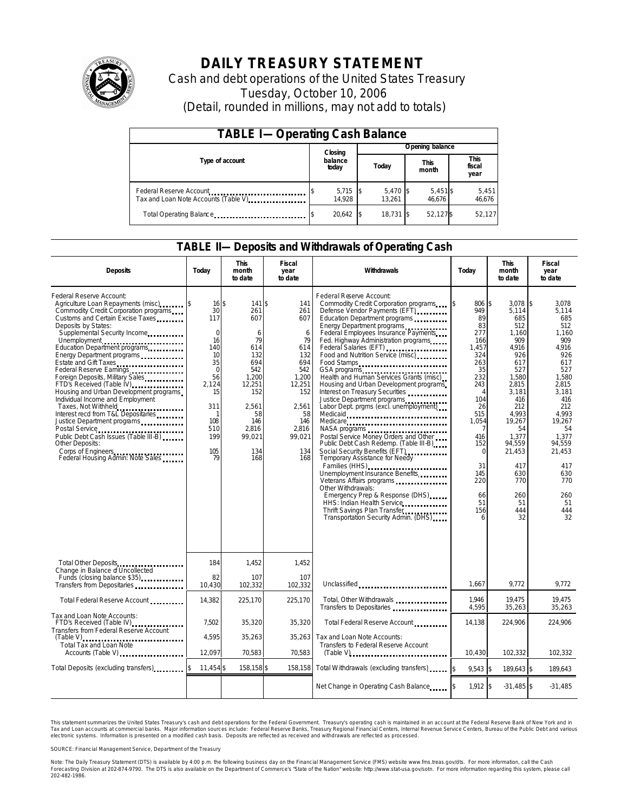

# **DAILY TREASURY STATEMENT**

Cash and debt operations of the United States Treasury Tuesday, October 10, 2006 (Detail, rounded in millions, may not add to totals)

| <b>TABLE I-Operating Cash Balance</b>                            |  |                  |  |                      |  |                      |  |                               |  |
|------------------------------------------------------------------|--|------------------|--|----------------------|--|----------------------|--|-------------------------------|--|
|                                                                  |  | Closing          |  | Opening balance      |  |                      |  |                               |  |
| Type of account                                                  |  | balance<br>today |  | Today                |  | <b>This</b><br>month |  | <b>This</b><br>fiscal<br>year |  |
| Federal Reserve Account<br>Tax and Loan Note Accounts (Table V). |  | 5,715<br>14.928  |  | $5,470$ \$<br>13.261 |  | 5,451\$<br>46.676    |  | 5,451<br>46,676               |  |
| Total Operating Balance                                          |  | 20.642           |  | 18.731 \$            |  | 52.127\$             |  | 52.127                        |  |

### **TABLE II—Deposits and Withdrawals of Operating Cash**

| <b>Deposits</b>                                                                                                                                                                                                                                                                                                                                                                                                                                                                                                                                                                                                                                                                                           | Today                                                                                                                                   | <b>This</b><br>month<br>to date                                                                                                              | <b>Fiscal</b><br>year<br>to date                                                                                                          | Withdrawals                                                                                                                                                                                                                                                                                                                                                                                                                                                                                                                                                                                                                                                                                                                                                                                                                                                                                                               | Today                                                                                                                                                                                                   | <b>This</b><br>month<br>to date                                                                                                                                                                                          | <b>Fiscal</b><br>year<br>to date                                                                                                                                                                                                |
|-----------------------------------------------------------------------------------------------------------------------------------------------------------------------------------------------------------------------------------------------------------------------------------------------------------------------------------------------------------------------------------------------------------------------------------------------------------------------------------------------------------------------------------------------------------------------------------------------------------------------------------------------------------------------------------------------------------|-----------------------------------------------------------------------------------------------------------------------------------------|----------------------------------------------------------------------------------------------------------------------------------------------|-------------------------------------------------------------------------------------------------------------------------------------------|---------------------------------------------------------------------------------------------------------------------------------------------------------------------------------------------------------------------------------------------------------------------------------------------------------------------------------------------------------------------------------------------------------------------------------------------------------------------------------------------------------------------------------------------------------------------------------------------------------------------------------------------------------------------------------------------------------------------------------------------------------------------------------------------------------------------------------------------------------------------------------------------------------------------------|---------------------------------------------------------------------------------------------------------------------------------------------------------------------------------------------------------|--------------------------------------------------------------------------------------------------------------------------------------------------------------------------------------------------------------------------|---------------------------------------------------------------------------------------------------------------------------------------------------------------------------------------------------------------------------------|
| Federal Reserve Account:<br>Agriculture Loan Repayments (misc)<br>Commodity Credit Corporation programs<br>Customs and Certain Excise Taxes<br>Deposits by States:<br>Supplemental Security Income<br>Unemployment<br>Education Department programs<br>Energy Department programs<br>Estate and Gift Taxes<br>Federal Reserve Earnings<br>Foreign Deposits, Military Sales<br>FTD's Received (Table IV)<br>Housing and Urban Development programs<br>Individual Income and Employment<br>Taxes, Not Withheld<br>Interest recd from T&L Depositaries<br>Justice Department programs<br>Public Debt Cash Issues (Table III-B)<br>Other Deposits:<br>Corps of Engineers<br>Federal Housing Admin: Note Sales | 16S<br>30<br>117<br>$\mathbf 0$<br>16<br>140<br>10<br>35<br>$\Omega$<br>56<br>2,124<br>15<br>311<br>1<br>108<br>510<br>199<br>105<br>79 | 141 \$<br>261<br>607<br>6<br>79<br>614<br>132<br>694<br>542<br>1,200<br>12,251<br>152<br>2.561<br>58<br>146<br>2.816<br>99,021<br>134<br>168 | 141<br>261<br>607<br>6<br>79<br>614<br>132<br>694<br>542<br>1.200<br>12,251<br>152<br>2.561<br>58<br>146<br>2,816<br>99,021<br>134<br>168 | Federal Reserve Account:<br>Commodity Credit Corporation programs<br>Defense Vendor Payments (EFT)<br>Education Department programs<br>Energy Department programs<br>Federal Employees Insurance Payments<br>Fed. Highway Administration programs<br>Food and Nutrition Service (misc)<br>Food Stamps<br>GSA programs<br>Health and Human Services Grants (misc)<br>Housing and Urban Development programs<br>Interest on Treasury Securities<br>Justice Department programs<br>Labor Dept. prgms (excl. unemployment)<br>Medicaid<br>Medicare<br>Postal Service Money Orders and Other<br>Public Debt Cash Redemp. (Table III-B)<br>Social Security Benefits (EFT)<br>Temporary Assistance for Needy<br>Families (HHS)<br>Unemployment Insurance Benefits<br>Other Withdrawals:<br>Emergency Prep & Response (DHS)<br>HHS: Indian Health Service<br>Thrift Savings Plan Transfer<br>Transportation Security Admin. (DHS) | 806 \$<br>949<br>89<br>83<br>277<br>166<br>1.457<br>324<br>263<br>35<br>232<br>243<br>$\overline{4}$<br>104<br>26<br>515<br>1.054<br>416<br>152<br>$\Omega$<br>31<br>145<br>220<br>66<br>51<br>156<br>6 | 3.078<br>5,114<br>685<br>512<br>1,160<br>909<br>4,916<br>926<br>617<br>527<br>1,580<br>2,815<br>3,181<br>416<br>212<br>4.993<br>19,267<br>54<br>1.377<br>94,559<br>21,453<br>417<br>630<br>770<br>260<br>51<br>444<br>32 | 1\$<br>3.078<br>5,114<br>685<br>512<br>1,160<br>909<br>4,916<br>926<br>617<br>527<br>1.580<br>2,815<br>3,181<br>416<br>212<br>4.993<br>19.267<br>54<br>1.377<br>94,559<br>21,453<br>417<br>630<br>770<br>260<br>51<br>444<br>32 |
| Total Other Deposits<br>Change in Balance of Uncollected                                                                                                                                                                                                                                                                                                                                                                                                                                                                                                                                                                                                                                                  | 184                                                                                                                                     | 1.452                                                                                                                                        | 1.452                                                                                                                                     |                                                                                                                                                                                                                                                                                                                                                                                                                                                                                                                                                                                                                                                                                                                                                                                                                                                                                                                           |                                                                                                                                                                                                         |                                                                                                                                                                                                                          |                                                                                                                                                                                                                                 |
| Funds (closing balance \$35)<br>Funds<br>Transfers from Depositaries                                                                                                                                                                                                                                                                                                                                                                                                                                                                                                                                                                                                                                      | 82<br>10,430                                                                                                                            | 107<br>102,332                                                                                                                               | 107<br>102,332                                                                                                                            | Unclassified                                                                                                                                                                                                                                                                                                                                                                                                                                                                                                                                                                                                                                                                                                                                                                                                                                                                                                              | 1,667                                                                                                                                                                                                   | 9,772                                                                                                                                                                                                                    | 9,772                                                                                                                                                                                                                           |
| Total Federal Reserve Account                                                                                                                                                                                                                                                                                                                                                                                                                                                                                                                                                                                                                                                                             | 14,382                                                                                                                                  | 225,170                                                                                                                                      | 225,170                                                                                                                                   | Total, Other Withdrawals<br>Transfers to Depositaries                                                                                                                                                                                                                                                                                                                                                                                                                                                                                                                                                                                                                                                                                                                                                                                                                                                                     | 1.946<br>4,595                                                                                                                                                                                          | 19.475<br>35,263                                                                                                                                                                                                         | 19,475<br>35,263                                                                                                                                                                                                                |
| Tax and Loan Note Accounts:<br>FTD's Received (Table IV)<br>Transfers from Federal Reserve Account                                                                                                                                                                                                                                                                                                                                                                                                                                                                                                                                                                                                        | 7.502                                                                                                                                   | 35,320                                                                                                                                       | 35,320                                                                                                                                    | Total Federal Reserve Account.                                                                                                                                                                                                                                                                                                                                                                                                                                                                                                                                                                                                                                                                                                                                                                                                                                                                                            | 14.138                                                                                                                                                                                                  | 224.906                                                                                                                                                                                                                  | 224.906                                                                                                                                                                                                                         |
| $(Table V)$<br>Total Tax and Loan Note<br>Accounts (Table V)                                                                                                                                                                                                                                                                                                                                                                                                                                                                                                                                                                                                                                              | 4.595<br>12,097                                                                                                                         | 35,263<br>70,583                                                                                                                             | 35,263<br>70,583                                                                                                                          | Tax and Loan Note Accounts:<br>Transfers to Federal Reserve Account                                                                                                                                                                                                                                                                                                                                                                                                                                                                                                                                                                                                                                                                                                                                                                                                                                                       | 10,430                                                                                                                                                                                                  | 102,332                                                                                                                                                                                                                  | 102,332                                                                                                                                                                                                                         |
| Total Deposits (excluding transfers)                                                                                                                                                                                                                                                                                                                                                                                                                                                                                                                                                                                                                                                                      | 11,454 \$                                                                                                                               | 158,158 \$                                                                                                                                   | 158,158                                                                                                                                   | Total Withdrawals (excluding transfers)                                                                                                                                                                                                                                                                                                                                                                                                                                                                                                                                                                                                                                                                                                                                                                                                                                                                                   | $9,543$ \$<br><sup>\$</sup>                                                                                                                                                                             | 189,643 \$                                                                                                                                                                                                               | 189,643                                                                                                                                                                                                                         |
|                                                                                                                                                                                                                                                                                                                                                                                                                                                                                                                                                                                                                                                                                                           |                                                                                                                                         |                                                                                                                                              |                                                                                                                                           | Net Change in Operating Cash Balance                                                                                                                                                                                                                                                                                                                                                                                                                                                                                                                                                                                                                                                                                                                                                                                                                                                                                      | 1,912 \$                                                                                                                                                                                                | $-31,485$ \$                                                                                                                                                                                                             | $-31,485$                                                                                                                                                                                                                       |

This statement summarizes the United States Treasury's cash and debt operations for the Federal Government. Treasury's operating cash is maintained in an account at the Federal Reserve Bank of New York and in Tax and Loan accounts at commercial banks. Major information sources include: Federal Reserve Banks, Treasury Regional Financial Centers, Internal Revenue Service Centers, Bureau of the Public Debt and various<br>electronic s

SOURCE: Financial Management Service, Department of the Treasury

Note: The Daily Treasury Statement (DTS) is available by 4:00 p.m. the following business day on the Financial Management Service (FMS) website www.fms.treas.gov/dts. For more information, call the Cash<br>Forecasting Divisio 'S) is available by 4:00 p.m. the following business day on the Financial Management Service (FMS) website www.fms.treas.gov/dts. For more information, call the Cash<br>The DTS is also available on the Department of Commerce'